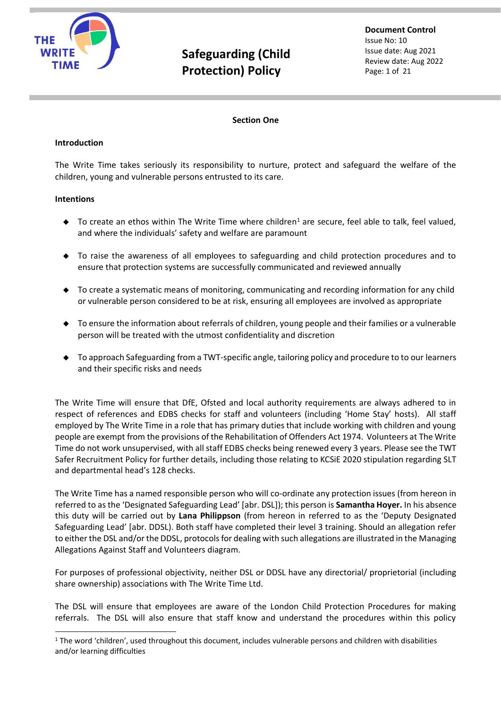

**Document Control** Issue No: 10 Issue date: Aug 2021 Review date: Aug 2022 Page: 1 of 21

#### **Section One**

#### **Introduction**

The Write Time takes seriously its responsibility to nurture, protect and safeguard the welfare of the children, young and vulnerable persons entrusted to its care.

#### **Intentions**

- $\blacklozenge$  To create an ethos within The Write Time where children<sup>1</sup> are secure, feel able to talk, feel valued, and where the individuals' safety and welfare are paramount
- ◆ To raise the awareness of all employees to safeguarding and child protection procedures and to ensure that protection systems are successfully communicated and reviewed annually
- ◆ To create a systematic means of monitoring, communicating and recording information for any child or vulnerable person considered to be at risk, ensuring all employees are involved as appropriate
- ◆ To ensure the information about referrals of children, young people and their families or a vulnerable person will be treated with the utmost confidentiality and discretion
- ◆ To approach Safeguarding from a TWT-specific angle, tailoring policy and procedure to to our learners and their specific risks and needs

The Write Time will ensure that DfE, Ofsted and local authority requirements are always adhered to in respect of references and EDBS checks for staff and volunteers (including 'Home Stay' hosts). All staff employed by The Write Time in a role that has primary duties that include working with children and young people are exempt from the provisions of the Rehabilitation of Offenders Act 1974. Volunteers at The Write Time do not work unsupervised, with all staff EDBS checks being renewed every 3 years. Please see the TWT Safer Recruitment Policy for further details, including those relating to KCSiE 2020 stipulation regarding SLT and departmental head's 128 checks.

The Write Time has a named responsible person who will co-ordinate any protection issues (from hereon in referred to as the 'Designated Safeguarding Lead' [abr. DSL]); this person is **Samantha Hoyer.** In his absence this duty will be carried out by **Lana Philippson** (from hereon in referred to as the 'Deputy Designated Safeguarding Lead' [abr. DDSL). Both staff have completed their level 3 training. Should an allegation refer to either the DSL and/or the DDSL, protocols for dealing with such allegations are illustrated in the Managing Allegations Against Staff and Volunteers diagram.

For purposes of professional objectivity, neither DSL or DDSL have any directorial/ proprietorial (including share ownership) associations with The Write Time Ltd.

The DSL will ensure that employees are aware of the London Child Protection Procedures for making referrals. The DSL will also ensure that staff know and understand the procedures within this policy

 $1$  The word 'children', used throughout this document, includes vulnerable persons and children with disabilities and/or learning difficulties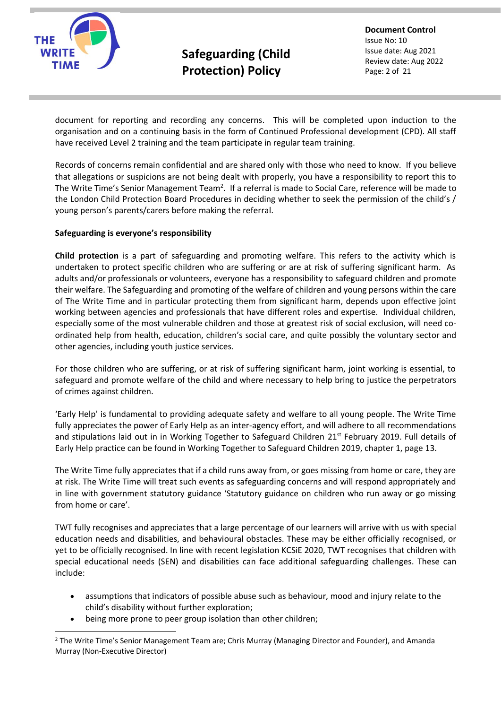

**Document Control** Issue No: 10 Issue date: Aug 2021 Review date: Aug 2022 Page: 2 of 21

document for reporting and recording any concerns. This will be completed upon induction to the organisation and on a continuing basis in the form of Continued Professional development (CPD). All staff have received Level 2 training and the team participate in regular team training.

Records of concerns remain confidential and are shared only with those who need to know. If you believe that allegations or suspicions are not being dealt with properly, you have a responsibility to report this to The Write Time's Senior Management Team<sup>2</sup>. If a referral is made to Social Care, reference will be made to the London Child Protection Board Procedures in deciding whether to seek the permission of the child's / young person's parents/carers before making the referral.

#### **Safeguarding is everyone's responsibility**

**Child protection** is a part of safeguarding and promoting welfare. This refers to the activity which is undertaken to protect specific children who are suffering or are at risk of suffering significant harm. As adults and/or professionals or volunteers, everyone has a responsibility to safeguard children and promote their welfare. The Safeguarding and promoting of the welfare of children and young persons within the care of The Write Time and in particular protecting them from significant harm, depends upon effective joint working between agencies and professionals that have different roles and expertise. Individual children, especially some of the most vulnerable children and those at greatest risk of social exclusion, will need coordinated help from health, education, children's social care, and quite possibly the voluntary sector and other agencies, including youth justice services.

For those children who are suffering, or at risk of suffering significant harm, joint working is essential, to safeguard and promote welfare of the child and where necessary to help bring to justice the perpetrators of crimes against children.

'Early Help' is fundamental to providing adequate safety and welfare to all young people. The Write Time fully appreciates the power of Early Help as an inter-agency effort, and will adhere to all recommendations and stipulations laid out in in Working Together to Safeguard Children 21<sup>st</sup> February 2019. Full details of Early Help practice can be found in Working Together to Safeguard Children 2019, chapter 1, page 13.

The Write Time fully appreciates that if a child runs away from, or goes missing from home or care, they are at risk. The Write Time will treat such events as safeguarding concerns and will respond appropriately and in line with government statutory guidance 'Statutory guidance on children who run away or go missing from home or care'.

TWT fully recognises and appreciates that a large percentage of our learners will arrive with us with special education needs and disabilities, and behavioural obstacles. These may be either officially recognised, or yet to be officially recognised. In line with recent legislation KCSiE 2020, TWT recognises that children with special educational needs (SEN) and disabilities can face additional safeguarding challenges. These can include:

- assumptions that indicators of possible abuse such as behaviour, mood and injury relate to the child's disability without further exploration;
- being more prone to peer group isolation than other children;

<sup>&</sup>lt;sup>2</sup> The Write Time's Senior Management Team are; Chris Murray (Managing Director and Founder), and Amanda Murray (Non-Executive Director)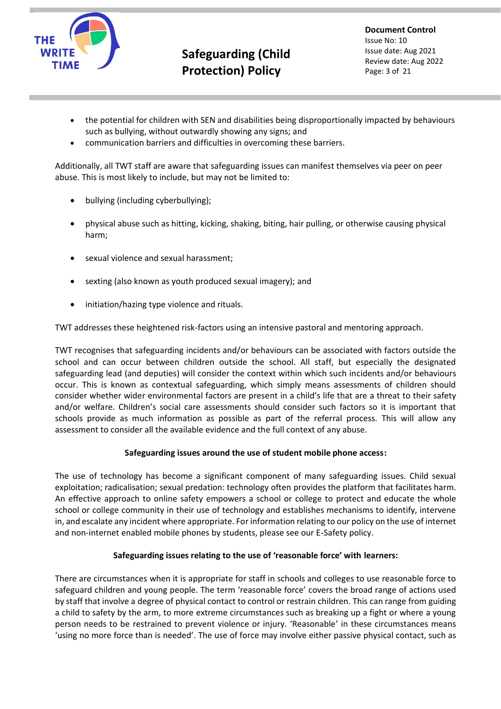

**Document Control** Issue No: 10 Issue date: Aug 2021 Review date: Aug 2022 Page: 3 of 21

- the potential for children with SEN and disabilities being disproportionally impacted by behaviours such as bullying, without outwardly showing any signs; and
- communication barriers and difficulties in overcoming these barriers.

Additionally, all TWT staff are aware that safeguarding issues can manifest themselves via peer on peer abuse. This is most likely to include, but may not be limited to:

- bullying (including cyberbullying);
- physical abuse such as hitting, kicking, shaking, biting, hair pulling, or otherwise causing physical harm;
- sexual violence and sexual harassment;
- sexting (also known as youth produced sexual imagery); and
- initiation/hazing type violence and rituals.

TWT addresses these heightened risk-factors using an intensive pastoral and mentoring approach.

TWT recognises that safeguarding incidents and/or behaviours can be associated with factors outside the school and can occur between children outside the school. All staff, but especially the designated safeguarding lead (and deputies) will consider the context within which such incidents and/or behaviours occur. This is known as contextual safeguarding, which simply means assessments of children should consider whether wider environmental factors are present in a child's life that are a threat to their safety and/or welfare. Children's social care assessments should consider such factors so it is important that schools provide as much information as possible as part of the referral process. This will allow any assessment to consider all the available evidence and the full context of any abuse.

#### **Safeguarding issues around the use of student mobile phone access:**

The use of technology has become a significant component of many safeguarding issues. Child sexual exploitation; radicalisation; sexual predation: technology often provides the platform that facilitates harm. An effective approach to online safety empowers a school or college to protect and educate the whole school or college community in their use of technology and establishes mechanisms to identify, intervene in, and escalate any incident where appropriate. For information relating to our policy on the use of internet and non-internet enabled mobile phones by students, please see our E-Safety policy.

#### **Safeguarding issues relating to the use of 'reasonable force' with learners:**

There are circumstances when it is appropriate for staff in schools and colleges to use reasonable force to safeguard children and young people. The term 'reasonable force' covers the broad range of actions used by staff that involve a degree of physical contact to control or restrain children. This can range from guiding a child to safety by the arm, to more extreme circumstances such as breaking up a fight or where a young person needs to be restrained to prevent violence or injury. 'Reasonable' in these circumstances means 'using no more force than is needed'. The use of force may involve either passive physical contact, such as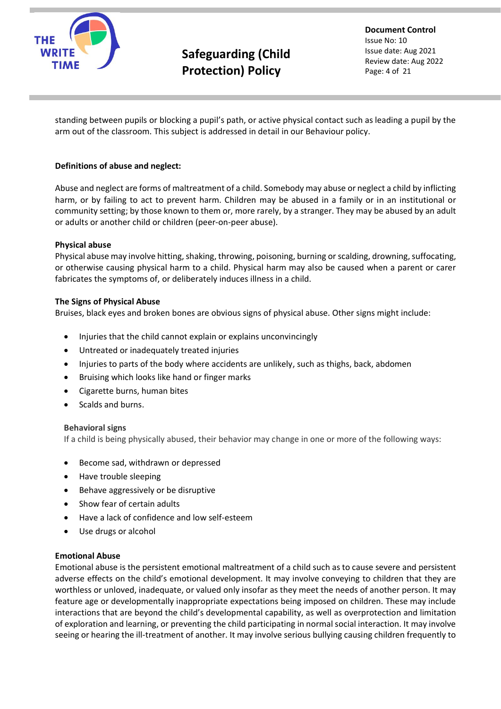

**Document Control** Issue No: 10 Issue date: Aug 2021 Review date: Aug 2022 Page: 4 of 21

standing between pupils or blocking a pupil's path, or active physical contact such as leading a pupil by the arm out of the classroom. This subject is addressed in detail in our Behaviour policy.

#### **Definitions of abuse and neglect:**

Abuse and neglect are forms of maltreatment of a child. Somebody may abuse or neglect a child by inflicting harm, or by failing to act to prevent harm. Children may be abused in a family or in an institutional or community setting; by those known to them or, more rarely, by a stranger. They may be abused by an adult or adults or another child or children (peer-on-peer abuse).

#### **Physical abuse**

Physical abuse may involve hitting, shaking, throwing, poisoning, burning or scalding, drowning, suffocating, or otherwise causing physical harm to a child. Physical harm may also be caused when a parent or carer fabricates the symptoms of, or deliberately induces illness in a child.

#### **The Signs of Physical Abuse**

Bruises, black eyes and broken bones are obvious signs of physical abuse. Other signs might include:

- Injuries that the child cannot explain or explains unconvincingly
- Untreated or inadequately treated injuries
- Injuries to parts of the body where accidents are unlikely, such as thighs, back, abdomen
- Bruising which looks like hand or finger marks
- Cigarette burns, human bites
- Scalds and burns.

#### **Behavioral signs**

If a child is being physically abused, their behavior may change in one or more of the following ways:

- Become sad, withdrawn or depressed
- Have trouble sleeping
- Behave aggressively or be disruptive
- Show fear of certain adults
- Have a lack of confidence and low self-esteem
- Use drugs or alcohol

#### **Emotional Abuse**

Emotional abuse is the persistent emotional maltreatment of a child such as to cause severe and persistent adverse effects on the child's emotional development. It may involve conveying to children that they are worthless or unloved, inadequate, or valued only insofar as they meet the needs of another person. It may feature age or developmentally inappropriate expectations being imposed on children. These may include interactions that are beyond the child's developmental capability, as well as overprotection and limitation of exploration and learning, or preventing the child participating in normal social interaction. It may involve seeing or hearing the ill-treatment of another. It may involve serious bullying causing children frequently to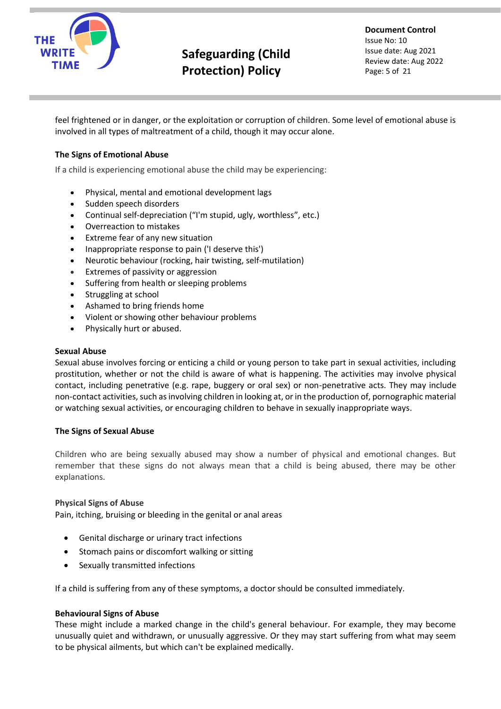

**Document Control** Issue No: 10 Issue date: Aug 2021 Review date: Aug 2022 Page: 5 of 21

feel frightened or in danger, or the exploitation or corruption of children. Some level of emotional abuse is involved in all types of maltreatment of a child, though it may occur alone.

#### **The Signs of Emotional Abuse**

If a child is experiencing emotional abuse the child may be experiencing:

- Physical, mental and emotional development lags
- Sudden speech disorders
- Continual self-depreciation ("I'm stupid, ugly, worthless", etc.)
- Overreaction to mistakes
- Extreme fear of any new situation
- Inappropriate response to pain ('I deserve this')
- Neurotic behaviour (rocking, hair twisting, self-mutilation)
- Extremes of passivity or aggression
- Suffering from health or sleeping problems
- Struggling at school
- Ashamed to bring friends home
- Violent or showing other behaviour problems
- Physically hurt or abused.

#### **Sexual Abuse**

Sexual abuse involves forcing or enticing a child or young person to take part in sexual activities, including prostitution, whether or not the child is aware of what is happening. The activities may involve physical contact, including penetrative (e.g. rape, buggery or oral sex) or non-penetrative acts. They may include non-contact activities, such as involving children in looking at, or in the production of, pornographic material or watching sexual activities, or encouraging children to behave in sexually inappropriate ways.

#### **The Signs of Sexual Abuse**

Children who are being sexually abused may show a number of physical and emotional changes. But remember that these signs do not always mean that a child is being abused, there may be other explanations.

#### **Physical Signs of Abuse**

Pain, itching, bruising or bleeding in the genital or anal areas

- Genital discharge or urinary tract infections
- Stomach pains or discomfort walking or sitting
- Sexually transmitted infections

If a child is suffering from any of these symptoms, a doctor should be consulted immediately.

#### **Behavioural Signs of Abuse**

These might include a marked change in the child's general behaviour. For example, they may become unusually quiet and withdrawn, or unusually aggressive. Or they may start suffering from what may seem to be physical ailments, but which can't be explained medically.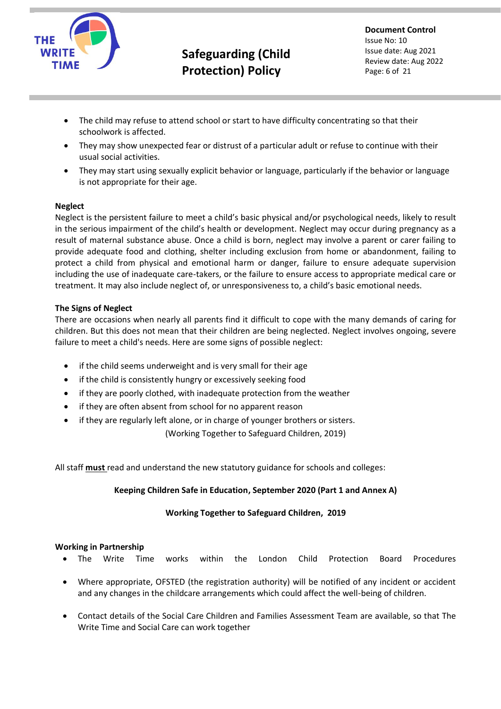

**Document Control** Issue No: 10 Issue date: Aug 2021 Review date: Aug 2022 Page: 6 of 21

- The child may refuse to attend school or start to have difficulty concentrating so that their schoolwork is affected.
- They may show unexpected fear or distrust of a particular adult or refuse to continue with their usual social activities.
- They may start using sexually explicit behavior or language, particularly if the behavior or language is not appropriate for their age.

#### **Neglect**

Neglect is the persistent failure to meet a child's basic physical and/or psychological needs, likely to result in the serious impairment of the child's health or development. Neglect may occur during pregnancy as a result of maternal substance abuse. Once a child is born, neglect may involve a parent or carer failing to provide adequate food and clothing, shelter including exclusion from home or abandonment, failing to protect a child from physical and emotional harm or danger, failure to ensure adequate supervision including the use of inadequate care-takers, or the failure to ensure access to appropriate medical care or treatment. It may also include neglect of, or unresponsiveness to, a child's basic emotional needs.

#### **The Signs of Neglect**

There are occasions when nearly all parents find it difficult to cope with the many demands of caring for children. But this does not mean that their children are being neglected. Neglect involves ongoing, severe failure to meet a child's needs. Here are some signs of possible neglect:

- if the child seems underweight and is very small for their age
- if the child is consistently hungry or excessively seeking food
- if they are poorly clothed, with inadequate protection from the weather
- if they are often absent from school for no apparent reason
- if they are regularly left alone, or in charge of younger brothers or sisters.

(Working Together to Safeguard Children, 2019)

All staff **must** read and understand the new statutory guidance for schools and colleges:

#### **Keeping Children Safe in Education, September 2020 (Part 1 and Annex A)**

#### **Working Together to Safeguard Children, 2019**

#### **Working in Partnership**

- The Write Time works within the London Child Protection Board Procedures
- Where appropriate, OFSTED (the registration authority) will be notified of any incident or accident and any changes in the childcare arrangements which could affect the well-being of children.
- Contact details of the Social Care Children and Families Assessment Team are available, so that The Write Time and Social Care can work together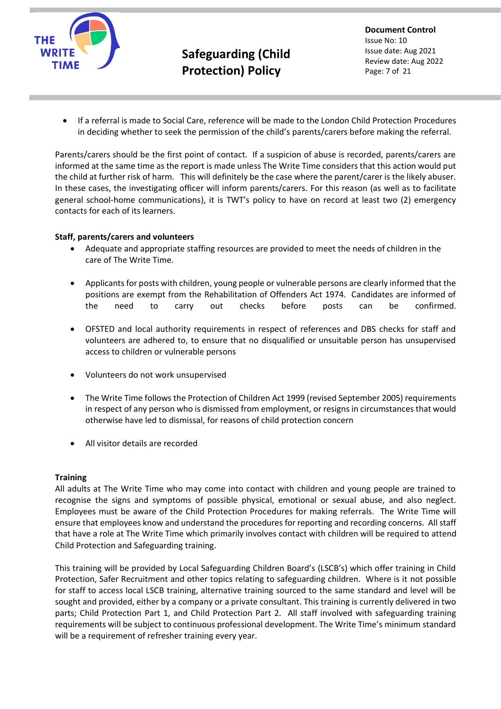

**Document Control** Issue No: 10 Issue date: Aug 2021 Review date: Aug 2022 Page: 7 of 21

• If a referral is made to Social Care, reference will be made to the London Child Protection Procedures in deciding whether to seek the permission of the child's parents/carers before making the referral.

Parents/carers should be the first point of contact. If a suspicion of abuse is recorded, parents/carers are informed at the same time as the report is made unless The Write Time considers that this action would put the child at further risk of harm. This will definitely be the case where the parent/carer is the likely abuser. In these cases, the investigating officer will inform parents/carers. For this reason (as well as to facilitate general school-home communications), it is TWT's policy to have on record at least two (2) emergency contacts for each of its learners.

#### **Staff, parents/carers and volunteers**

- Adequate and appropriate staffing resources are provided to meet the needs of children in the care of The Write Time.
- Applicants for posts with children, young people or vulnerable persons are clearly informed that the positions are exempt from the Rehabilitation of Offenders Act 1974. Candidates are informed of the need to carry out checks before posts can be confirmed.
- OFSTED and local authority requirements in respect of references and DBS checks for staff and volunteers are adhered to, to ensure that no disqualified or unsuitable person has unsupervised access to children or vulnerable persons
- Volunteers do not work unsupervised
- The Write Time follows the Protection of Children Act 1999 (revised September 2005) requirements in respect of any person who is dismissed from employment, or resigns in circumstances that would otherwise have led to dismissal, for reasons of child protection concern
- All visitor details are recorded

#### **Training**

All adults at The Write Time who may come into contact with children and young people are trained to recognise the signs and symptoms of possible physical, emotional or sexual abuse, and also neglect. Employees must be aware of the Child Protection Procedures for making referrals. The Write Time will ensure that employees know and understand the procedures for reporting and recording concerns. All staff that have a role at The Write Time which primarily involves contact with children will be required to attend Child Protection and Safeguarding training.

This training will be provided by Local Safeguarding Children Board's (LSCB's) which offer training in Child Protection, Safer Recruitment and other topics relating to safeguarding children. Where is it not possible for staff to access local LSCB training, alternative training sourced to the same standard and level will be sought and provided, either by a company or a private consultant. This training is currently delivered in two parts; Child Protection Part 1, and Child Protection Part 2. All staff involved with safeguarding training requirements will be subject to continuous professional development. The Write Time's minimum standard will be a requirement of refresher training every year.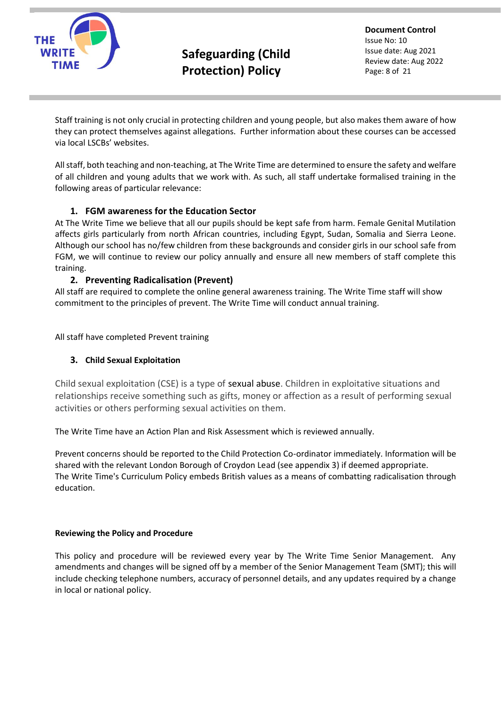

**Document Control** Issue No: 10 Issue date: Aug 2021 Review date: Aug 2022 Page: 8 of 21

Staff training is not only crucial in protecting children and young people, but also makes them aware of how they can protect themselves against allegations. Further information about these courses can be accessed via local LSCBs' websites.

All staff, both teaching and non-teaching, at The Write Time are determined to ensure the safety and welfare of all children and young adults that we work with. As such, all staff undertake formalised training in the following areas of particular relevance:

### **1. FGM awareness for the Education Sector**

At The Write Time we believe that all our pupils should be kept safe from harm. Female Genital Mutilation affects girls particularly from north African countries, including Egypt, Sudan, Somalia and Sierra Leone. Although our school has no/few children from these backgrounds and consider girls in our school safe from FGM, we will continue to review our policy annually and ensure all new members of staff complete this training.

### **2. Preventing Radicalisation (Prevent)**

All staff are required to complete the online general awareness training. The Write Time staff will show commitment to the principles of prevent. The Write Time will conduct annual training.

All staff have completed Prevent training

#### **3. Child Sexual Exploitation**

Child sexual exploitation (CSE) is a type of sexual abuse. Children in exploitative situations and relationships receive something such as gifts, money or affection as a result of performing sexual activities or others performing sexual activities on them.

The Write Time have an Action Plan and Risk Assessment which is reviewed annually.

Prevent concerns should be reported to the Child Protection Co-ordinator immediately. Information will be shared with the relevant London Borough of Croydon Lead (see appendix 3) if deemed appropriate. The Write Time's Curriculum Policy embeds British values as a means of combatting radicalisation through education.

#### **Reviewing the Policy and Procedure**

This policy and procedure will be reviewed every year by The Write Time Senior Management. Any amendments and changes will be signed off by a member of the Senior Management Team (SMT); this will include checking telephone numbers, accuracy of personnel details, and any updates required by a change in local or national policy.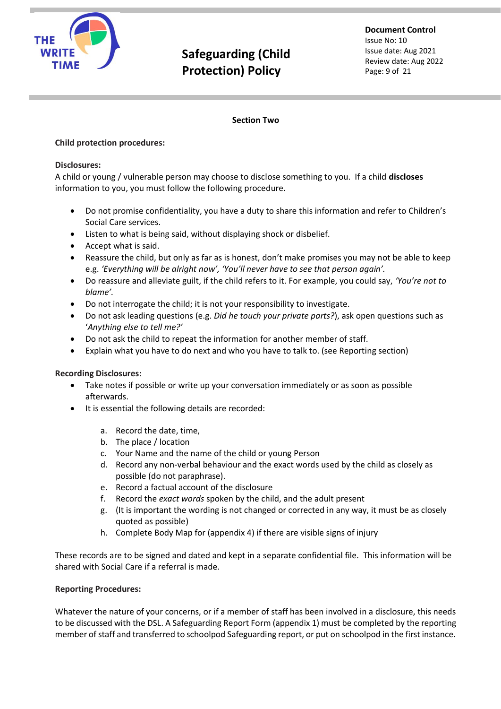

**Document Control** Issue No: 10 Issue date: Aug 2021 Review date: Aug 2022 Page: 9 of 21

#### **Section Two**

#### **Child protection procedures:**

#### **Disclosures:**

A child or young / vulnerable person may choose to disclose something to you. If a child **discloses** information to you, you must follow the following procedure.

- Do not promise confidentiality, you have a duty to share this information and refer to Children's Social Care services.
- Listen to what is being said, without displaying shock or disbelief.
- Accept what is said.
- Reassure the child, but only as far as is honest, don't make promises you may not be able to keep e.g. *'Everything will be alright now', 'You'll never have to see that person again'.*
- Do reassure and alleviate guilt, if the child refers to it. For example, you could say, *'You're not to blame'.*
- Do not interrogate the child; it is not your responsibility to investigate.
- Do not ask leading questions (e.g. *Did he touch your private parts?*), ask open questions such as '*Anything else to tell me?'*
- Do not ask the child to repeat the information for another member of staff.
- Explain what you have to do next and who you have to talk to. (see Reporting section)

#### **Recording Disclosures:**

- Take notes if possible or write up your conversation immediately or as soon as possible afterwards.
- It is essential the following details are recorded:
	- a. Record the date, time,
	- b. The place / location
	- c. Your Name and the name of the child or young Person
	- d. Record any non-verbal behaviour and the exact words used by the child as closely as possible (do not paraphrase).
	- e. Record a factual account of the disclosure
	- f. Record the *exact words* spoken by the child, and the adult present
	- g. (It is important the wording is not changed or corrected in any way, it must be as closely quoted as possible)
	- h. Complete Body Map for (appendix 4) if there are visible signs of injury

These records are to be signed and dated and kept in a separate confidential file. This information will be shared with Social Care if a referral is made.

#### **Reporting Procedures:**

Whatever the nature of your concerns, or if a member of staff has been involved in a disclosure, this needs to be discussed with the DSL. A Safeguarding Report Form (appendix 1) must be completed by the reporting member of staff and transferred to schoolpod Safeguarding report, or put on schoolpod in the first instance.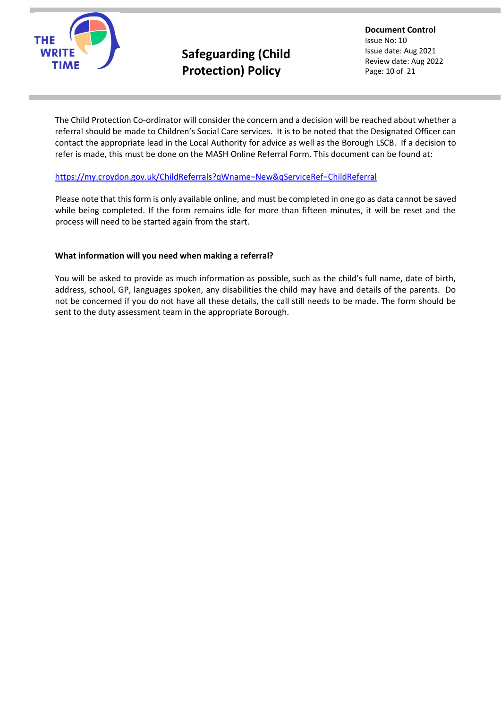

**Document Control** Issue No: 10 Issue date: Aug 2021 Review date: Aug 2022 Page: 10 of 21

The Child Protection Co-ordinator will consider the concern and a decision will be reached about whether a referral should be made to Children's Social Care services. It is to be noted that the Designated Officer can contact the appropriate lead in the Local Authority for advice as well as the Borough LSCB. If a decision to refer is made, this must be done on the MASH Online Referral Form. This document can be found at:

#### <https://my.croydon.gov.uk/ChildReferrals?qWname=New&qServiceRef=ChildReferral>

Please note that this form is only available online, and must be completed in one go as data cannot be saved while being completed. If the form remains idle for more than fifteen minutes, it will be reset and the process will need to be started again from the start.

#### **What information will you need when making a referral?**

You will be asked to provide as much information as possible, such as the child's full name, date of birth, address, school, GP, languages spoken, any disabilities the child may have and details of the parents. Do not be concerned if you do not have all these details, the call still needs to be made. The form should be sent to the duty assessment team in the appropriate Borough.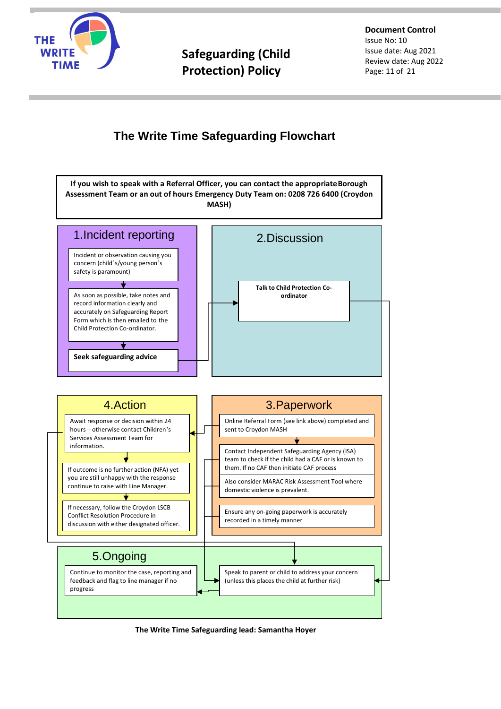

**Document Control** Issue No: 10 Issue date: Aug 2021 Review date: Aug 2022 Page: 11 of 21

### **The Write Time Safeguarding Flowchart**



**The Write Time Safeguarding lead: Samantha Hoyer**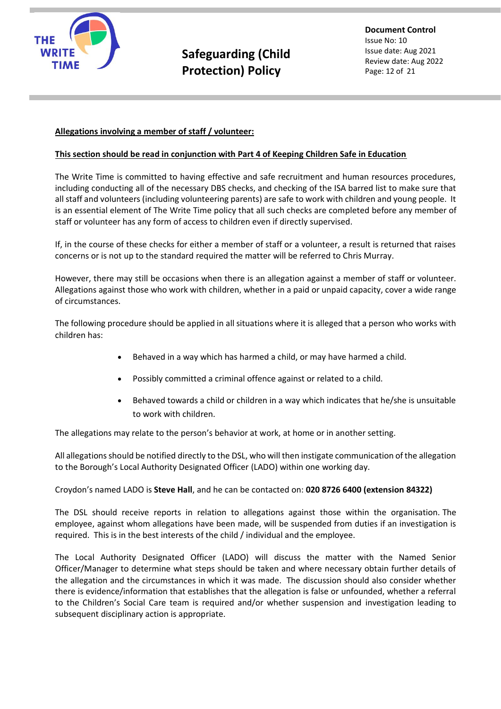

#### **Allegations involving a member of staff / volunteer:**

#### **This section should be read in conjunction with Part 4 of Keeping Children Safe in Education**

The Write Time is committed to having effective and safe recruitment and human resources procedures, including conducting all of the necessary DBS checks, and checking of the ISA barred list to make sure that all staff and volunteers (including volunteering parents) are safe to work with children and young people. It is an essential element of The Write Time policy that all such checks are completed before any member of staff or volunteer has any form of access to children even if directly supervised.

If, in the course of these checks for either a member of staff or a volunteer, a result is returned that raises concerns or is not up to the standard required the matter will be referred to Chris Murray.

However, there may still be occasions when there is an allegation against a member of staff or volunteer. Allegations against those who work with children, whether in a paid or unpaid capacity, cover a wide range of circumstances.

The following procedure should be applied in all situations where it is alleged that a person who works with children has:

- Behaved in a way which has harmed a child, or may have harmed a child.
- Possibly committed a criminal offence against or related to a child.
- Behaved towards a child or children in a way which indicates that he/she is unsuitable to work with children.

The allegations may relate to the person's behavior at work, at home or in another setting.

All allegations should be notified directly to the DSL, who will then instigate communication of the allegation to the Borough's Local Authority Designated Officer (LADO) within one working day.

#### Croydon's named LADO is **Steve Hall**, and he can be contacted on: **020 8726 6400 (extension 84322)**

The DSL should receive reports in relation to allegations against those within the organisation. The employee, against whom allegations have been made, will be suspended from duties if an investigation is required. This is in the best interests of the child / individual and the employee.

The Local Authority Designated Officer (LADO) will discuss the matter with the Named Senior Officer/Manager to determine what steps should be taken and where necessary obtain further details of the allegation and the circumstances in which it was made. The discussion should also consider whether there is evidence/information that establishes that the allegation is false or unfounded, whether a referral to the Children's Social Care team is required and/or whether suspension and investigation leading to subsequent disciplinary action is appropriate.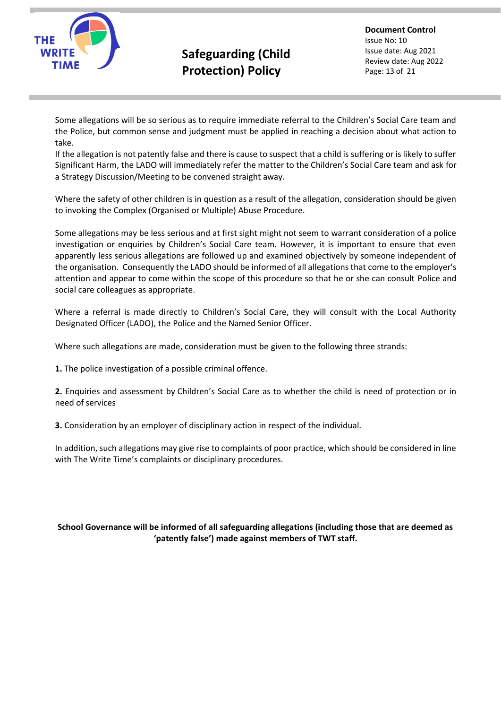

**Document Control** Issue No: 10 Issue date: Aug 2021 Review date: Aug 2022 Page: 13 of 21

Some allegations will be so serious as to require immediate referral to the Children's Social Care team and the Police, but common sense and judgment must be applied in reaching a decision about what action to take.

If the allegation is not patently false and there is cause to suspect that a child is suffering or is likely to suffer Significant Harm, the LADO will immediately refer the matter to the Children's Social Care team and ask for a Strategy Discussion/Meeting to be convened straight away.

Where the safety of other children is in question as a result of the allegation, consideration should be given to invoking the Complex (Organised or Multiple) Abuse Procedure.

Some allegations may be less serious and at first sight might not seem to warrant consideration of a police investigation or enquiries by Children's Social Care team. However, it is important to ensure that even apparently less serious allegations are followed up and examined objectively by someone independent of the organisation. Consequently the LADO should be informed of all allegations that come to the employer's attention and appear to come within the scope of this procedure so that he or she can consult Police and social care colleagues as appropriate.

Where a referral is made directly to Children's Social Care, they will consult with the Local Authority Designated Officer (LADO), the Police and the Named Senior Officer.

Where such allegations are made, consideration must be given to the following three strands:

**1.** The police investigation of a possible criminal offence.

**2.** Enquiries and assessment by Children's Social Care as to whether the child is need of protection or in need of services

**3.** Consideration by an employer of disciplinary action in respect of the individual.

In addition, such allegations may give rise to complaints of poor practice, which should be considered in line with The Write Time's complaints or disciplinary procedures.

#### **School Governance will be informed of all safeguarding allegations (including those that are deemed as 'patently false') made against members of TWT staff.**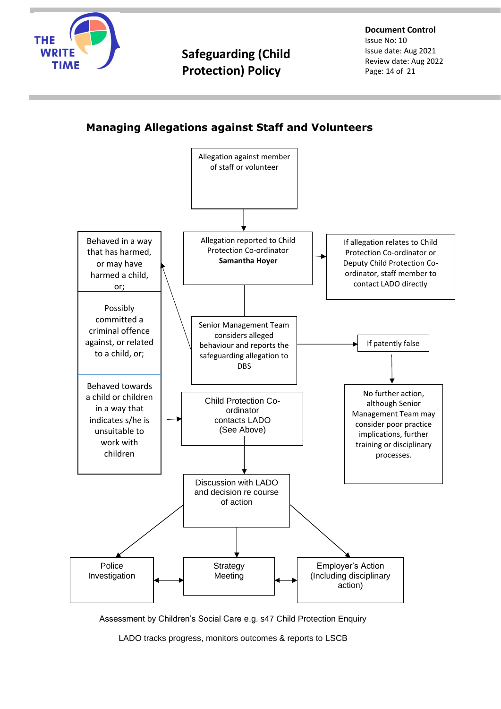

**Document Control** Issue No: 10 Issue date: Aug 2021 Review date: Aug 2022 Page: 14 of 21

### **Managing Allegations against Staff and Volunteers**



Assessment by Children's Social Care e.g. s47 Child Protection Enquiry

LADO tracks progress, monitors outcomes & reports to LSCB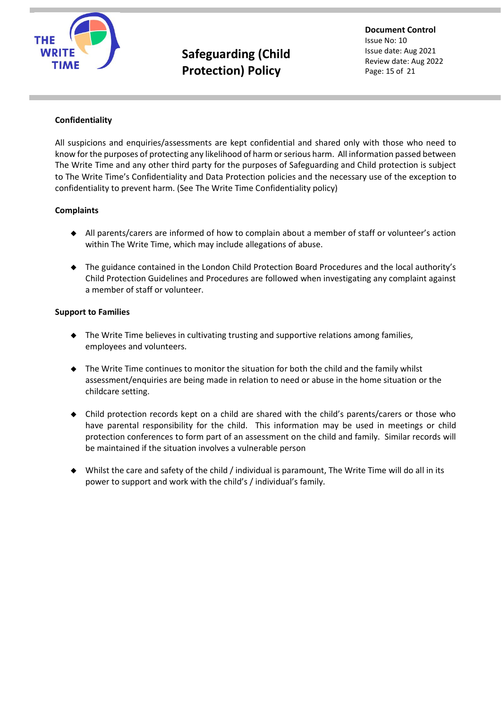

**Document Control** Issue No: 10 Issue date: Aug 2021 Review date: Aug 2022 Page: 15 of 21

#### **Confidentiality**

All suspicions and enquiries/assessments are kept confidential and shared only with those who need to know for the purposes of protecting any likelihood of harm or serious harm. All information passed between The Write Time and any other third party for the purposes of Safeguarding and Child protection is subject to The Write Time's Confidentiality and Data Protection policies and the necessary use of the exception to confidentiality to prevent harm. (See The Write Time Confidentiality policy)

#### **Complaints**

- ◆ All parents/carers are informed of how to complain about a member of staff or volunteer's action within The Write Time, which may include allegations of abuse.
- ◆ The guidance contained in the London Child Protection Board Procedures and the local authority's Child Protection Guidelines and Procedures are followed when investigating any complaint against a member of staff or volunteer.

#### **Support to Families**

- ◆ The Write Time believes in cultivating trusting and supportive relations among families, employees and volunteers.
- ◆ The Write Time continues to monitor the situation for both the child and the family whilst assessment/enquiries are being made in relation to need or abuse in the home situation or the childcare setting.
- ◆ Child protection records kept on a child are shared with the child's parents/carers or those who have parental responsibility for the child. This information may be used in meetings or child protection conferences to form part of an assessment on the child and family. Similar records will be maintained if the situation involves a vulnerable person
- Whilst the care and safety of the child / individual is paramount, The Write Time will do all in its power to support and work with the child's / individual's family.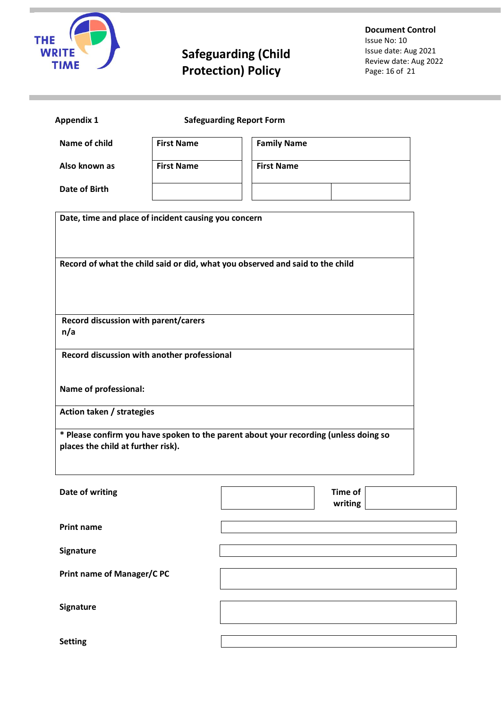

**Document Control** Issue No: 10 Issue date: Aug 2021 Review date: Aug 2022 Page: 16 of 21

| <b>Appendix 1</b>                                                                                                          | <b>Safeguarding Report Form</b> |                           |  |  |  |  |
|----------------------------------------------------------------------------------------------------------------------------|---------------------------------|---------------------------|--|--|--|--|
| Name of child                                                                                                              | <b>First Name</b>               | <b>Family Name</b>        |  |  |  |  |
| Also known as                                                                                                              | <b>First Name</b>               | <b>First Name</b>         |  |  |  |  |
| <b>Date of Birth</b>                                                                                                       |                                 |                           |  |  |  |  |
| Date, time and place of incident causing you concern                                                                       |                                 |                           |  |  |  |  |
|                                                                                                                            |                                 |                           |  |  |  |  |
| Record of what the child said or did, what you observed and said to the child                                              |                                 |                           |  |  |  |  |
|                                                                                                                            |                                 |                           |  |  |  |  |
| Record discussion with parent/carers                                                                                       |                                 |                           |  |  |  |  |
| n/a                                                                                                                        |                                 |                           |  |  |  |  |
| Record discussion with another professional                                                                                |                                 |                           |  |  |  |  |
| Name of professional:                                                                                                      |                                 |                           |  |  |  |  |
| Action taken / strategies                                                                                                  |                                 |                           |  |  |  |  |
| * Please confirm you have spoken to the parent about your recording (unless doing so<br>places the child at further risk). |                                 |                           |  |  |  |  |
|                                                                                                                            |                                 |                           |  |  |  |  |
| Date of writing                                                                                                            |                                 | <b>Time of</b><br>writing |  |  |  |  |
| <b>Print name</b>                                                                                                          |                                 |                           |  |  |  |  |
| Signature                                                                                                                  |                                 |                           |  |  |  |  |
| Print name of Manager/C PC                                                                                                 |                                 |                           |  |  |  |  |
| Signature                                                                                                                  |                                 |                           |  |  |  |  |
|                                                                                                                            |                                 |                           |  |  |  |  |
| <b>Setting</b>                                                                                                             |                                 |                           |  |  |  |  |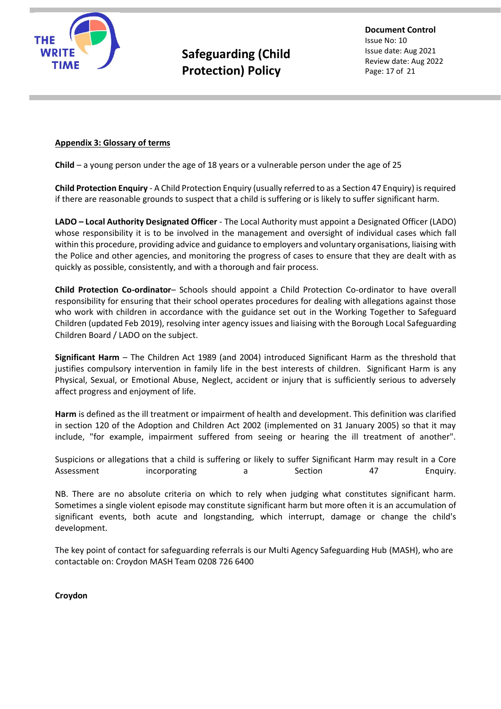

**Document Control** Issue No: 10 Issue date: Aug 2021 Review date: Aug 2022 Page: 17 of 21

#### **Appendix 3: Glossary of terms**

**Child** – a young person under the age of 18 years or a vulnerable person under the age of 25

**Child Protection Enquiry** - A Child Protection Enquiry (usually referred to as a Section 47 Enquiry) is required if there are reasonable grounds to suspect that a child is suffering or is likely to suffer significant harm.

**LADO – Local Authority Designated Officer** - The Local Authority must appoint a Designated Officer (LADO) whose responsibility it is to be involved in the management and oversight of individual cases which fall within this procedure, providing advice and guidance to employers and voluntary organisations, liaising with the Police and other agencies, and monitoring the progress of cases to ensure that they are dealt with as quickly as possible, consistently, and with a thorough and fair process.

**Child Protection Co-ordinator**– Schools should appoint a Child Protection Co-ordinator to have overall responsibility for ensuring that their school operates procedures for dealing with allegations against those who work with children in accordance with the guidance set out in the Working Together to Safeguard Children (updated Feb 2019), resolving inter agency issues and liaising with the Borough Local Safeguarding Children Board / LADO on the subject.

**Significant Harm** – The Children Act 1989 (and 2004) introduced Significant Harm as the threshold that justifies compulsory intervention in family life in the best interests of children. Significant Harm is any Physical, Sexual, or Emotional Abuse, Neglect, accident or injury that is sufficiently serious to adversely affect progress and enjoyment of life.

**Harm** is defined as the ill treatment or impairment of health and development. This definition was clarified in section 120 of the Adoption and Children Act 2002 (implemented on 31 January 2005) so that it may include, "for example, impairment suffered from seeing or hearing the ill treatment of another".

Suspicions or allegations that a child is suffering or likely to suffer Significant Harm may result in a Core Assessment incorporating a Section 47 Enquiry.

NB. There are no absolute criteria on which to rely when judging what constitutes significant harm. Sometimes a single violent episode may constitute significant harm but more often it is an accumulation of significant events, both acute and longstanding, which interrupt, damage or change the child's development.

The key point of contact for safeguarding referrals is our Multi Agency Safeguarding Hub (MASH), who are contactable on: Croydon MASH Team 0208 726 6400

**Croydon**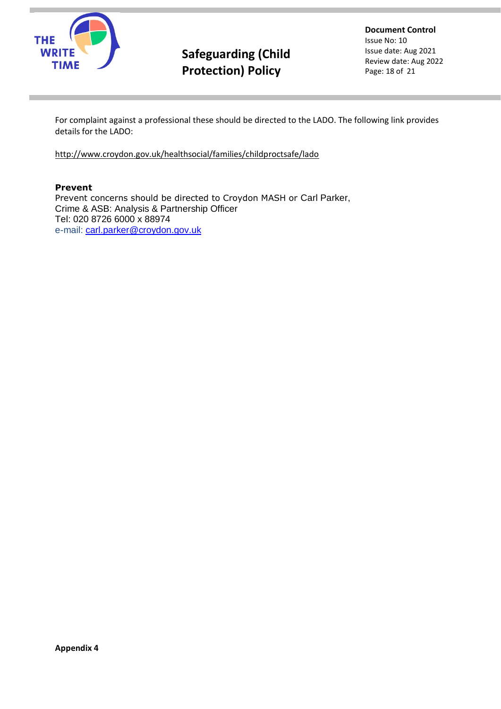

**Document Control** Issue No: 10 Issue date: Aug 2021 Review date: Aug 2022 Page: 18 of 21

For complaint against a professional these should be directed to the LADO. The following link provides details for the LADO:

<http://www.croydon.gov.uk/healthsocial/families/childproctsafe/lado>

#### **Prevent**

Prevent concerns should be directed to Croydon MASH or Carl Parker, Crime & ASB: Analysis & Partnership Officer Tel: 020 8726 6000 x 88974 e-mail: [carl.parker@croydon.gov.uk](mailto:carl.parker@croydon.gov.uk)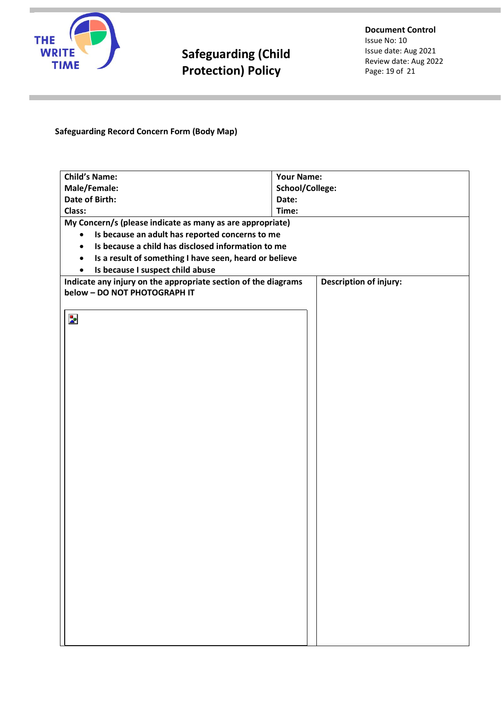

### **Safeguarding Record Concern Form (Body Map)**

| <b>Child's Name:</b>                                                | <b>Your Name:</b>             |  |  |  |  |  |
|---------------------------------------------------------------------|-------------------------------|--|--|--|--|--|
| Male/Female:                                                        | School/College:               |  |  |  |  |  |
| <b>Date of Birth:</b>                                               | Date:                         |  |  |  |  |  |
| Class:                                                              | Time:                         |  |  |  |  |  |
| My Concern/s (please indicate as many as are appropriate)           |                               |  |  |  |  |  |
| Is because an adult has reported concerns to me                     |                               |  |  |  |  |  |
| Is because a child has disclosed information to me                  |                               |  |  |  |  |  |
| Is a result of something I have seen, heard or believe<br>$\bullet$ |                               |  |  |  |  |  |
| Is because I suspect child abuse<br>$\bullet$                       |                               |  |  |  |  |  |
| Indicate any injury on the appropriate section of the diagrams      | <b>Description of injury:</b> |  |  |  |  |  |
| below - DO NOT PHOTOGRAPH IT                                        |                               |  |  |  |  |  |
|                                                                     |                               |  |  |  |  |  |
| $\mathbf{z}$                                                        |                               |  |  |  |  |  |
|                                                                     |                               |  |  |  |  |  |
|                                                                     |                               |  |  |  |  |  |
|                                                                     |                               |  |  |  |  |  |
|                                                                     |                               |  |  |  |  |  |
|                                                                     |                               |  |  |  |  |  |
|                                                                     |                               |  |  |  |  |  |
|                                                                     |                               |  |  |  |  |  |
|                                                                     |                               |  |  |  |  |  |
|                                                                     |                               |  |  |  |  |  |
|                                                                     |                               |  |  |  |  |  |
|                                                                     |                               |  |  |  |  |  |
|                                                                     |                               |  |  |  |  |  |
|                                                                     |                               |  |  |  |  |  |
|                                                                     |                               |  |  |  |  |  |
|                                                                     |                               |  |  |  |  |  |
|                                                                     |                               |  |  |  |  |  |
|                                                                     |                               |  |  |  |  |  |
|                                                                     |                               |  |  |  |  |  |
|                                                                     |                               |  |  |  |  |  |
|                                                                     |                               |  |  |  |  |  |
|                                                                     |                               |  |  |  |  |  |
|                                                                     |                               |  |  |  |  |  |
|                                                                     |                               |  |  |  |  |  |
|                                                                     |                               |  |  |  |  |  |
|                                                                     |                               |  |  |  |  |  |
|                                                                     |                               |  |  |  |  |  |
|                                                                     |                               |  |  |  |  |  |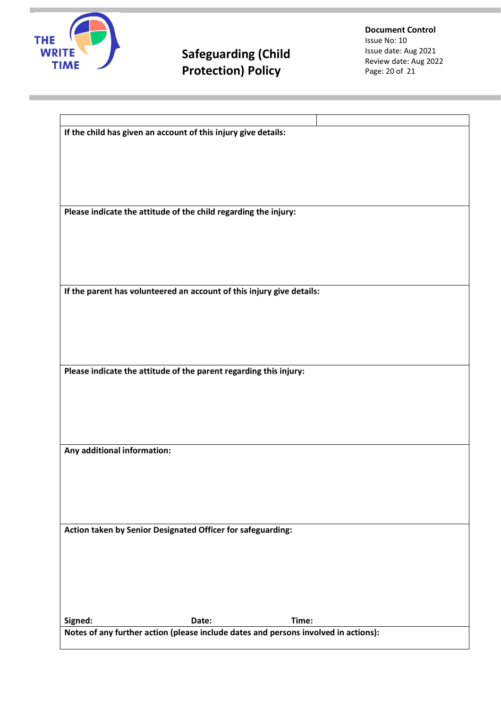

**Document Control** Issue No: 10 Issue date: Aug 2021 Review date: Aug 2022 Page: 20 of 21

|                                                                   | If the child has given an account of this injury give details:        |                                                                                     |  |  |  |
|-------------------------------------------------------------------|-----------------------------------------------------------------------|-------------------------------------------------------------------------------------|--|--|--|
|                                                                   |                                                                       |                                                                                     |  |  |  |
|                                                                   |                                                                       |                                                                                     |  |  |  |
|                                                                   |                                                                       |                                                                                     |  |  |  |
|                                                                   |                                                                       |                                                                                     |  |  |  |
|                                                                   |                                                                       |                                                                                     |  |  |  |
| Please indicate the attitude of the child regarding the injury:   |                                                                       |                                                                                     |  |  |  |
|                                                                   |                                                                       |                                                                                     |  |  |  |
|                                                                   |                                                                       |                                                                                     |  |  |  |
|                                                                   |                                                                       |                                                                                     |  |  |  |
|                                                                   |                                                                       |                                                                                     |  |  |  |
|                                                                   | If the parent has volunteered an account of this injury give details: |                                                                                     |  |  |  |
|                                                                   |                                                                       |                                                                                     |  |  |  |
|                                                                   |                                                                       |                                                                                     |  |  |  |
|                                                                   |                                                                       |                                                                                     |  |  |  |
|                                                                   |                                                                       |                                                                                     |  |  |  |
|                                                                   |                                                                       |                                                                                     |  |  |  |
| Please indicate the attitude of the parent regarding this injury: |                                                                       |                                                                                     |  |  |  |
|                                                                   |                                                                       |                                                                                     |  |  |  |
|                                                                   |                                                                       |                                                                                     |  |  |  |
|                                                                   |                                                                       |                                                                                     |  |  |  |
|                                                                   |                                                                       |                                                                                     |  |  |  |
| Any additional information:                                       |                                                                       |                                                                                     |  |  |  |
|                                                                   |                                                                       |                                                                                     |  |  |  |
|                                                                   |                                                                       |                                                                                     |  |  |  |
|                                                                   |                                                                       |                                                                                     |  |  |  |
|                                                                   |                                                                       |                                                                                     |  |  |  |
|                                                                   |                                                                       |                                                                                     |  |  |  |
|                                                                   | Action taken by Senior Designated Officer for safeguarding:           |                                                                                     |  |  |  |
|                                                                   |                                                                       |                                                                                     |  |  |  |
|                                                                   |                                                                       |                                                                                     |  |  |  |
|                                                                   |                                                                       |                                                                                     |  |  |  |
|                                                                   |                                                                       |                                                                                     |  |  |  |
|                                                                   |                                                                       |                                                                                     |  |  |  |
| Signed:                                                           | Date:                                                                 | Time:                                                                               |  |  |  |
|                                                                   |                                                                       | Notes of any further action (please include dates and persons involved in actions): |  |  |  |